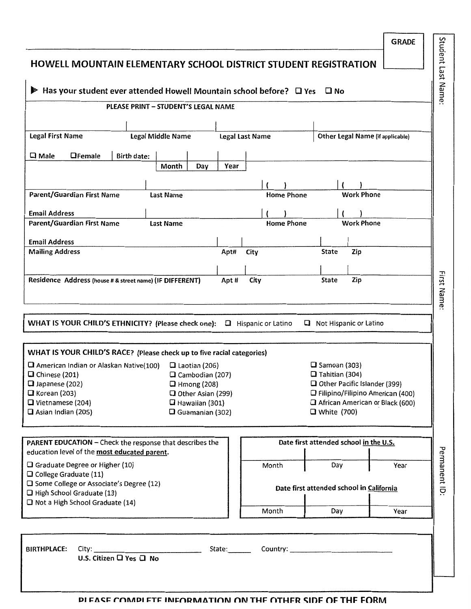| <b>HOWELL MOUNTAIN ELEMENTARY SCHOOL DISTRICT STUDENT REGISTRATION</b>                                        |                                              |                |                              |                                          |                                                 |                   | <b>GRADE</b>                                                                 |                   |
|---------------------------------------------------------------------------------------------------------------|----------------------------------------------|----------------|------------------------------|------------------------------------------|-------------------------------------------------|-------------------|------------------------------------------------------------------------------|-------------------|
| $\blacktriangleright$ Has your student ever attended Howell Mountain school before? $\Box$ Yes $\Box$ No      |                                              |                |                              |                                          |                                                 |                   |                                                                              | Student Last Name |
|                                                                                                               | PLEASE PRINT - STUDENT'S LEGAL NAME          |                |                              |                                          |                                                 |                   |                                                                              |                   |
|                                                                                                               |                                              |                |                              |                                          |                                                 |                   |                                                                              |                   |
| <b>Legal First Name</b>                                                                                       | <b>Legal Middle Name</b>                     |                | <b>Legal Last Name</b>       |                                          |                                                 |                   | Other Legal Name (if applicable)                                             |                   |
| $\square$ Male<br><b>O</b> Female<br><b>Birth date:</b>                                                       |                                              |                |                              |                                          |                                                 |                   |                                                                              |                   |
|                                                                                                               | Month<br>Day                                 | Year           |                              |                                          |                                                 |                   |                                                                              |                   |
|                                                                                                               |                                              |                |                              |                                          |                                                 |                   |                                                                              |                   |
| Parent/Guardian First Name                                                                                    | <b>Last Name</b>                             |                |                              | <b>Home Phone</b>                        |                                                 | <b>Work Phone</b> |                                                                              |                   |
| <b>Email Address</b>                                                                                          |                                              |                |                              |                                          |                                                 |                   |                                                                              |                   |
| Parent/Guardian First Name                                                                                    | <b>Last Name</b>                             |                |                              | <b>Home Phone</b>                        |                                                 | <b>Work Phone</b> |                                                                              |                   |
| <b>Email Address</b><br><b>Mailing Address</b>                                                                |                                              | Apt#           | City                         |                                          | <b>State</b>                                    | Zip               |                                                                              |                   |
|                                                                                                               |                                              |                |                              |                                          |                                                 |                   |                                                                              |                   |
| Residence Address (house # & street name) (IF DIFFERENT)                                                      |                                              | Apt#           | City                         |                                          | State                                           | Zip               |                                                                              | First Name        |
| WHAT IS YOUR CHILD'S ETHNICITY? (Please check one):                                                           |                                              |                | <b>El</b> Hispanic or Latino | 0                                        | Not Hispanic or Latino                          |                   |                                                                              |                   |
| WHAT IS YOUR CHILD'S RACE? (Please check up to five racial categories)                                        |                                              |                |                              |                                          |                                                 |                   |                                                                              |                   |
| $\Box$ American Indian or Alaskan Native(100)                                                                 | $\Box$ Laotian (206)                         |                |                              |                                          | $\square$ Samoan (303)<br>$\Box$ Tahitian (304) |                   |                                                                              |                   |
| $\Box$ Chinese (201)<br>Japanese (202)                                                                        | $\Box$ Cambodian (207)<br>$\Box$ Hmong (208) |                |                              |                                          | Other Pacific Islander (399)                    |                   |                                                                              |                   |
| $\Box$ Korean (203)<br>U Vietnamese (204)                                                                     | O Other Asian (299)<br>$\Box$ Hawaiian (301) |                |                              |                                          |                                                 |                   | <b>Q</b> Filipino/Filipino American (400)<br>African American or Black (600) |                   |
| $\Box$ Asian Indian (205)                                                                                     | $\Box$ Guamanian (302)                       |                |                              |                                          | □ White (700)                                   |                   |                                                                              |                   |
| PARENT EDUCATION - Check the response that describes the<br>education level of the most educated parent.      |                                              |                |                              | Date first attended school in the U.S.   |                                                 |                   |                                                                              |                   |
| <b>Q</b> Graduate Degree or Higher (10)                                                                       |                                              |                | Month                        |                                          | Day                                             |                   | Year                                                                         |                   |
| $\Box$ College Graduate (11)<br>□ Some College or Associate's Degree (12)<br>$\Box$ High School Graduate (13) |                                              |                |                              | Date first attended school in California |                                                 |                   |                                                                              | Permanent ID:     |
| Not a High School Graduate (14)                                                                               |                                              |                | Month                        |                                          | Day                                             |                   | Year                                                                         |                   |
|                                                                                                               |                                              |                |                              |                                          |                                                 |                   |                                                                              |                   |
| <b>BIRTHPLACE:</b><br>City:<br>U.S. Citizen L Yes L No                                                        |                                              | State:________ |                              |                                          |                                                 |                   |                                                                              |                   |
|                                                                                                               |                                              |                |                              |                                          |                                                 |                   |                                                                              |                   |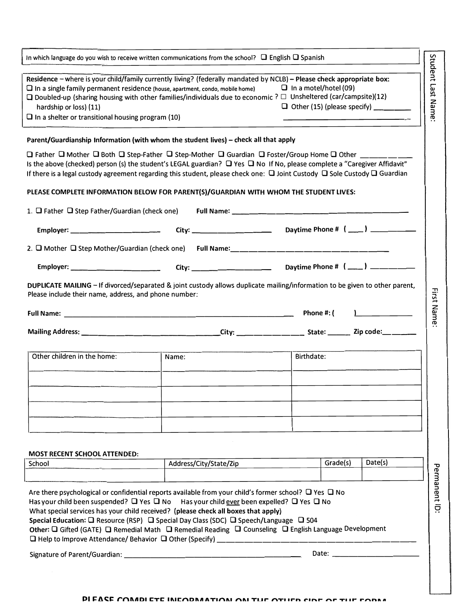| In which language do you wish to receive written communications from the school? $\Box$ English $\Box$ Spanish                                                                                                                                                                                                                                                                                                                                                                                                                                                                                                                 |                                                                                                                 |                                                                                                                                                                                                                               |                   |
|--------------------------------------------------------------------------------------------------------------------------------------------------------------------------------------------------------------------------------------------------------------------------------------------------------------------------------------------------------------------------------------------------------------------------------------------------------------------------------------------------------------------------------------------------------------------------------------------------------------------------------|-----------------------------------------------------------------------------------------------------------------|-------------------------------------------------------------------------------------------------------------------------------------------------------------------------------------------------------------------------------|-------------------|
| Residence - where is your child/family currently living? (federally mandated by NCLB) - Please check appropriate box:<br>$\square$ In a single family permanent residence (house, apartment, condo, mobile home)<br>$\Box$ Doubled-up (sharing housing with other families/individuals due to economic ? $\Box$ Unsheltered (car/campsite)(12)<br>hardship or loss) (11)<br>$\Box$ In a shelter or transitional housing program (10)                                                                                                                                                                                           |                                                                                                                 | $\Box$ In a motel/hotel (09)                                                                                                                                                                                                  | Student Last Name |
| Parent/Guardianship Information (with whom the student lives) - check all that apply                                                                                                                                                                                                                                                                                                                                                                                                                                                                                                                                           |                                                                                                                 |                                                                                                                                                                                                                               |                   |
| $\Box$ Father $\Box$ Mother $\Box$ Both $\Box$ Step-Father $\Box$ Step-Mother $\Box$ Guardian $\Box$ Foster/Group Home $\Box$ Other _______<br>Is the above (checked) person (s) the student's LEGAL guardian? $\Box$ Yes $\Box$ No If No, please complete a "Caregiver Affidavit"<br>If there is a legal custody agreement regarding this student, please check one: $\Box$ Joint Custody $\Box$ Sole Custody $\Box$ Guardian                                                                                                                                                                                                 |                                                                                                                 |                                                                                                                                                                                                                               |                   |
| PLEASE COMPLETE INFORMATION BELOW FOR PARENT(S)/GUARDIAN WITH WHOM THE STUDENT LIVES:                                                                                                                                                                                                                                                                                                                                                                                                                                                                                                                                          |                                                                                                                 |                                                                                                                                                                                                                               |                   |
| 1. $\Box$ Father $\Box$ Step Father/Guardian (check one)                                                                                                                                                                                                                                                                                                                                                                                                                                                                                                                                                                       |                                                                                                                 |                                                                                                                                                                                                                               |                   |
| Employer: ____________________                                                                                                                                                                                                                                                                                                                                                                                                                                                                                                                                                                                                 |                                                                                                                 | Daytime Phone # (____) ________                                                                                                                                                                                               |                   |
| 2. O Mother O Step Mother/Guardian (check one) Full Name: _______________________                                                                                                                                                                                                                                                                                                                                                                                                                                                                                                                                              |                                                                                                                 |                                                                                                                                                                                                                               |                   |
|                                                                                                                                                                                                                                                                                                                                                                                                                                                                                                                                                                                                                                |                                                                                                                 |                                                                                                                                                                                                                               |                   |
| DUPLICATE MAILING - If divorced/separated & joint custody allows duplicate mailing/information to be given to other parent,<br>Please include their name, address, and phone number:                                                                                                                                                                                                                                                                                                                                                                                                                                           |                                                                                                                 |                                                                                                                                                                                                                               |                   |
|                                                                                                                                                                                                                                                                                                                                                                                                                                                                                                                                                                                                                                |                                                                                                                 |                                                                                                                                                                                                                               |                   |
|                                                                                                                                                                                                                                                                                                                                                                                                                                                                                                                                                                                                                                |                                                                                                                 | Phone #: (                                                                                                                                                                                                                    |                   |
| Mailing Address: _________________________________City: ________________________ State: ________ Zip code:__________                                                                                                                                                                                                                                                                                                                                                                                                                                                                                                           |                                                                                                                 |                                                                                                                                                                                                                               | First Name        |
| Other children in the home:                                                                                                                                                                                                                                                                                                                                                                                                                                                                                                                                                                                                    | Name:                                                                                                           | Birthdate:                                                                                                                                                                                                                    |                   |
|                                                                                                                                                                                                                                                                                                                                                                                                                                                                                                                                                                                                                                |                                                                                                                 |                                                                                                                                                                                                                               |                   |
|                                                                                                                                                                                                                                                                                                                                                                                                                                                                                                                                                                                                                                |                                                                                                                 |                                                                                                                                                                                                                               |                   |
|                                                                                                                                                                                                                                                                                                                                                                                                                                                                                                                                                                                                                                |                                                                                                                 |                                                                                                                                                                                                                               |                   |
|                                                                                                                                                                                                                                                                                                                                                                                                                                                                                                                                                                                                                                |                                                                                                                 |                                                                                                                                                                                                                               |                   |
| <b>MOST RECENT SCHOOL ATTENDED:</b><br>School                                                                                                                                                                                                                                                                                                                                                                                                                                                                                                                                                                                  | Address/City/State/Zip                                                                                          | Grade(s)                                                                                                                                                                                                                      | Date(s)           |
| Are there psychological or confidential reports available from your child's former school? $\Box$ Yes $\Box$ No<br>Has your child been suspended? $\Box$ Yes $\Box$ No Has your child ever been expelled? $\Box$ Yes $\Box$ No<br>What special services has your child received? (please check all boxes that apply)<br>Special Education: $\Box$ Resource (RSP) $\Box$ Special Day Class (SDC) $\Box$ Speech/Language $\Box$ 504<br>Other: Q Gifted (GATE) Q Remedial Math Q Remedial Reading Q Counseling Q English Language Development<br>□ Help to Improve Attendance/ Behavior □ Other (Specify) _______________________ |                                                                                                                 |                                                                                                                                                                                                                               | Permanent ID      |
| Signature of Parent/Guardian:                                                                                                                                                                                                                                                                                                                                                                                                                                                                                                                                                                                                  | the contract of the contract of the contract of the contract of the contract of the contract of the contract of | Date: and the contract of the contract of the contract of the contract of the contract of the contract of the contract of the contract of the contract of the contract of the contract of the contract of the contract of the |                   |

#### **PI FACE COMADI ETE INIEODMATIONI ON TUE OTHER CIRE OF THE FORMA**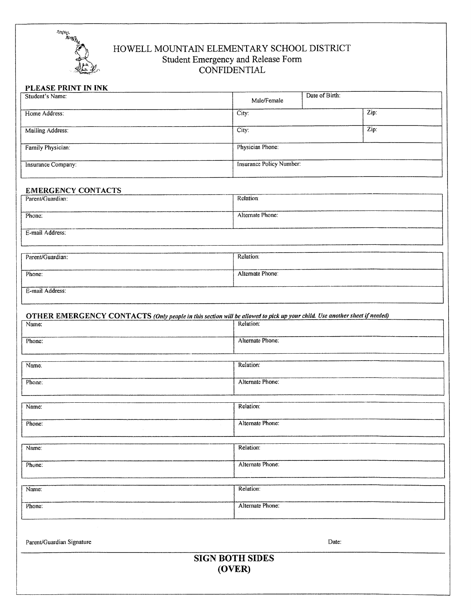

#### HOWELL MOUNTAIN ELEMENTARY SCHOOL DISTRICT Student Emergency and Release Form CONFIDENTIAL

### PLEASE PRINT IN INK

| $\mathbf{r}$ . There is a second to the second second the second second second second second second second second second second second second second second second second second second second second second second second second<br>Student's Name: | Male/Female                        | Date of Birth: |      |  |
|------------------------------------------------------------------------------------------------------------------------------------------------------------------------------------------------------------------------------------------------------|------------------------------------|----------------|------|--|
| Home Address:                                                                                                                                                                                                                                        | City:                              |                | Zip: |  |
|                                                                                                                                                                                                                                                      |                                    |                |      |  |
| Mailing Address:                                                                                                                                                                                                                                     | $\overline{\text{Zip: }}$<br>City: |                |      |  |
| Family Physician:                                                                                                                                                                                                                                    | Physician Phone:                   |                |      |  |
| Insurance Company:                                                                                                                                                                                                                                   | Insurance Policy Number:           |                |      |  |
| <b>EMERGENCY CONTACTS</b>                                                                                                                                                                                                                            |                                    |                |      |  |
| Parent/Guardian:                                                                                                                                                                                                                                     | Relation:                          |                |      |  |
| Phone:                                                                                                                                                                                                                                               | Alternate Phone:                   |                |      |  |
| E-mail Address:                                                                                                                                                                                                                                      |                                    |                |      |  |
| Parent/Guardian:                                                                                                                                                                                                                                     | Relation:                          |                |      |  |
| Phone:                                                                                                                                                                                                                                               | Alternate Phone:                   |                |      |  |
|                                                                                                                                                                                                                                                      |                                    |                |      |  |
| E-mail Address:                                                                                                                                                                                                                                      |                                    |                |      |  |
| OTHER EMERGENCY CONTACTS (Only people in this section will be allowed to pick up your child. Use another sheet if needed)                                                                                                                            |                                    |                |      |  |
| Name:                                                                                                                                                                                                                                                | Relation:                          |                |      |  |
| Phone:                                                                                                                                                                                                                                               | Alternate Phone:                   |                |      |  |
|                                                                                                                                                                                                                                                      |                                    |                |      |  |
| Name.                                                                                                                                                                                                                                                | Relation:                          |                |      |  |
| Phone:                                                                                                                                                                                                                                               | Alternate Phone:                   |                |      |  |
|                                                                                                                                                                                                                                                      |                                    |                |      |  |
| Name:                                                                                                                                                                                                                                                | Relation:                          |                |      |  |
| Phone:                                                                                                                                                                                                                                               | Alternate Phone:                   |                |      |  |
|                                                                                                                                                                                                                                                      |                                    |                |      |  |
| Name:                                                                                                                                                                                                                                                | Relation:                          |                |      |  |
| Phone:                                                                                                                                                                                                                                               | Alternate Phone:                   |                |      |  |
| Name:                                                                                                                                                                                                                                                | Relation:                          |                |      |  |
|                                                                                                                                                                                                                                                      |                                    |                |      |  |
| Phone:                                                                                                                                                                                                                                               | Alternate Phone:                   |                |      |  |
|                                                                                                                                                                                                                                                      |                                    |                |      |  |
| Parent/Guardian Signature                                                                                                                                                                                                                            |                                    | Date:          |      |  |

## **SIGN BOTH SIDES**  $(OVER)$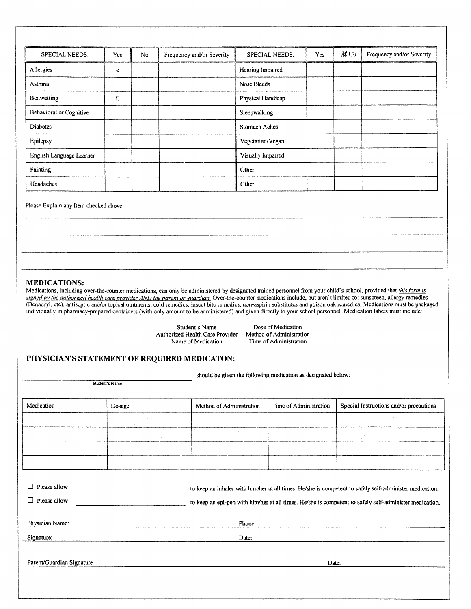| SPECIAL NEEDS:           | Yes | N <sub>0</sub> | Frequency and/or Severity | <b>SPECIAL NEEDS:</b> | Yes | 脒!Fr | Frequency and/or Severity |
|--------------------------|-----|----------------|---------------------------|-----------------------|-----|------|---------------------------|
| Allergies                | e   |                |                           | Hearing Impaired      |     |      |                           |
| Asthma                   |     |                |                           | Nose Bleeds           |     |      |                           |
| Bedwetting               | O   |                |                           | Physical Handicap     |     |      |                           |
| Behavioral or Cognitive  |     |                |                           | Sleepwalking          |     |      |                           |
| <b>Diabetes</b>          |     |                |                           | Stomach Aches         |     |      |                           |
| Epilepsy                 |     |                |                           | Vegetarian/Vegan      |     |      |                           |
| English Language Learner |     |                |                           | Visually Impaired     |     |      |                           |
| Fainting                 |     |                |                           | Other                 |     |      |                           |
| Headaches                |     |                |                           | Other                 |     |      |                           |

Please Explain any Item checked above:

#### **MEDICATIONS:**

Medications, including over-the-counter medications, can only be administered by designated trained personnel from your child's school, provided that this form is signed by the authorized health care provider AND the parent or guardian. Over-the-counter medications include, but aren't limited to: sunscreen, allergy remedies (Benadryl, etc), antiseptic and/or topical ointments, cold remedies, insect bite remedies, non-aspirin substitutes and poison oak remedies. Medications must be packaged individually in pharmacy-prepared containers (with only amount to be administered) and given directly to your school personnel. Medication labels must include:

> Student's Name Authorized Health Care Provider Name of Medication

Dose of Medication Method of Administration Time of Administration

#### PHYSICIAN'S STATEMENT OF REQUIRED MEDICATON:

Student's Name

should be given the following medication as designated below:

| Medication                           | Dosage                                                                                                                                                                                                             | Method of Administration | Time of Administration | Special Instructions and/or precautions |  |  |
|--------------------------------------|--------------------------------------------------------------------------------------------------------------------------------------------------------------------------------------------------------------------|--------------------------|------------------------|-----------------------------------------|--|--|
|                                      |                                                                                                                                                                                                                    |                          |                        |                                         |  |  |
|                                      |                                                                                                                                                                                                                    |                          |                        |                                         |  |  |
| $\sim$                               |                                                                                                                                                                                                                    |                          |                        |                                         |  |  |
|                                      |                                                                                                                                                                                                                    |                          |                        |                                         |  |  |
| □<br>Please allow<br>Physician Name: | to keep an inhaler with him/her at all times. He/she is competent to safely self-administer medication.<br>to keep an epi-pen with him/her at all times. He/she is competent to safely self-administer medication. |                          |                        |                                         |  |  |
|                                      |                                                                                                                                                                                                                    | Phone:                   |                        |                                         |  |  |
| Signature:                           |                                                                                                                                                                                                                    | Date:                    |                        |                                         |  |  |
| Parent/Guardian Signature            |                                                                                                                                                                                                                    |                          | Date:                  |                                         |  |  |
|                                      |                                                                                                                                                                                                                    |                          |                        |                                         |  |  |
|                                      |                                                                                                                                                                                                                    |                          |                        |                                         |  |  |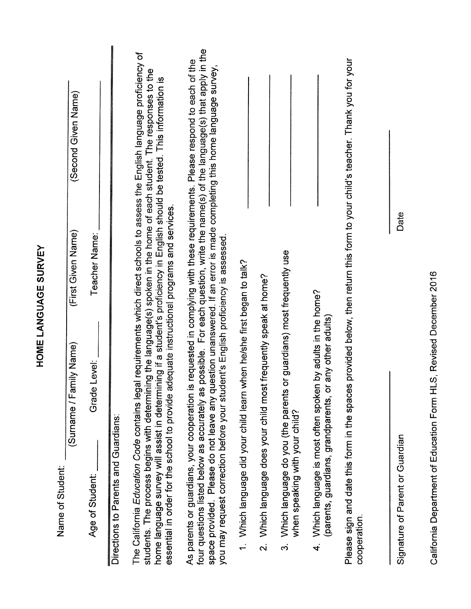|                                                                                                                                                                                                                                                                                                                                                                                                                                                                                     | <b>HOME LANGUAGE SURVEY</b> |                                                                                                                                                                      |
|-------------------------------------------------------------------------------------------------------------------------------------------------------------------------------------------------------------------------------------------------------------------------------------------------------------------------------------------------------------------------------------------------------------------------------------------------------------------------------------|-----------------------------|----------------------------------------------------------------------------------------------------------------------------------------------------------------------|
| (Surname / Family Name)<br>Name of Student:                                                                                                                                                                                                                                                                                                                                                                                                                                         | (First Given Name)          | (Second Given Name)                                                                                                                                                  |
| Level:<br>Grade<br>Age of Student:                                                                                                                                                                                                                                                                                                                                                                                                                                                  | Teacher Name:               |                                                                                                                                                                      |
| Directions to Parents and Guardians:                                                                                                                                                                                                                                                                                                                                                                                                                                                |                             |                                                                                                                                                                      |
| The California Education Code contains legal requirements which direct schools to assess the English language proficiency of<br>students. The process begins with determining the language(s) spoken in the home of each student. The responses to the<br>home language survey will assist in determining if a student's proficiency in English should be tested. This information is<br>essential in order for the school to provide adequate instructional programs and services. |                             |                                                                                                                                                                      |
| As parents or guardians, your cooperation is requested in complying with these requirements. Please respond to each of the<br>you may request correction before your student's English proficiency is assessed.<br>four questions listed below as accurately as<br>space provided. Please do not leave any qu                                                                                                                                                                       |                             | possible. For each question, write the name(s) of the language(s) that apply in the<br>uestion unanswered. If an error is made completing this home language survey, |
| 1. Which language did your child learn when he/she first began to talk?                                                                                                                                                                                                                                                                                                                                                                                                             |                             |                                                                                                                                                                      |
| Which language does your child most frequently speak at home?<br>$\overline{\mathbf{v}}$                                                                                                                                                                                                                                                                                                                                                                                            |                             |                                                                                                                                                                      |
| or guardians) most frequently use<br>Which language do you (the parents<br>when speaking with your child?<br>က်                                                                                                                                                                                                                                                                                                                                                                     |                             |                                                                                                                                                                      |
| Which language is most often spoken by adults in the home?<br>(parents, guardians, grandparents, or any other adults)<br>$\vec{f}$                                                                                                                                                                                                                                                                                                                                                  |                             |                                                                                                                                                                      |
| Please sign and date this form in the spaces provided below, then return this form to your child's teacher. Thank you for your<br>cooperation.                                                                                                                                                                                                                                                                                                                                      |                             |                                                                                                                                                                      |
| Signature of Parent or Guardian                                                                                                                                                                                                                                                                                                                                                                                                                                                     | Date                        |                                                                                                                                                                      |
|                                                                                                                                                                                                                                                                                                                                                                                                                                                                                     |                             |                                                                                                                                                                      |

California Department of Education Form HLS, Revised December 2016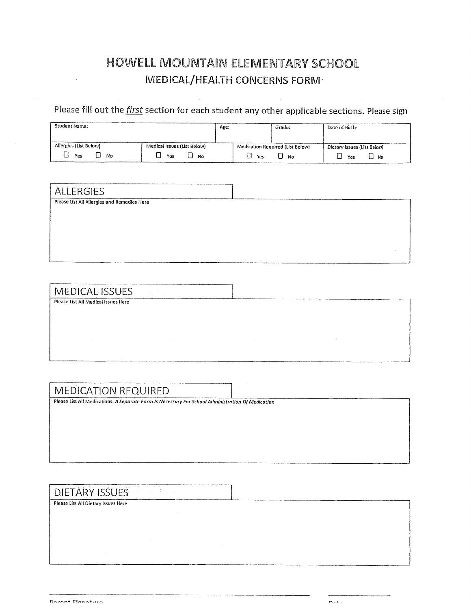## HOWELL MOUNTAIN ELEMENTARY SCHOOL MEDICAL/HEALTH CONCERNS FORM

Please fill out the *first* section for each student any other applicable sections. Please sign

| <b>Student Name:</b>   |                             | Age: |     | Grade:                           | Date of Birth:              |
|------------------------|-----------------------------|------|-----|----------------------------------|-----------------------------|
|                        |                             |      |     |                                  |                             |
| Allergies (List Below) | Medical Issues (List Below) |      |     | Medication Required (List Below) | Dietary Issues (List Below) |
| Yes<br>No              | Yes<br>No.                  |      | Yes | No                               | No<br>Yes                   |

| ALLERGIES                                   |  |
|---------------------------------------------|--|
| Please List All Allergies and Remedies Here |  |
|                                             |  |
|                                             |  |
|                                             |  |
|                                             |  |
|                                             |  |

 $m = 1$ 

## **MEDICAL ISSUES**

Please List All Medical Issues Here

#### **MEDICATION REQUIRED**

Please List All Medications. A Separate Form Is Necessary For School Administration Of Medication

ţ.

#### **DIETARY ISSUES**

Please List All Dietary Issues Here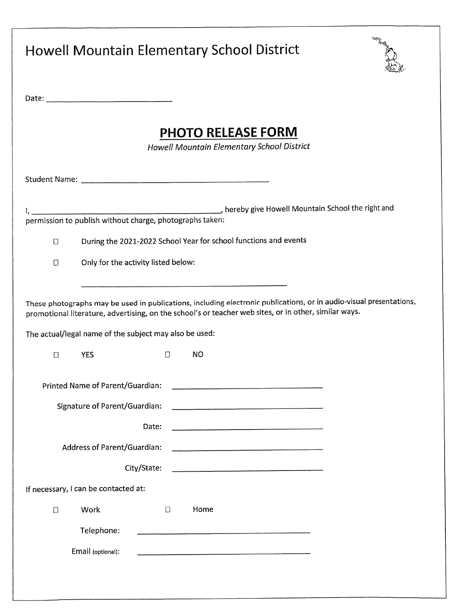| <b>Howell Mountain Elementary School District</b>                                                                                                                                                                                                                                                                                     | lo, ng |
|---------------------------------------------------------------------------------------------------------------------------------------------------------------------------------------------------------------------------------------------------------------------------------------------------------------------------------------|--------|
|                                                                                                                                                                                                                                                                                                                                       |        |
| <b>PHOTO RELEASE FORM</b><br>Howell Mountain Elementary School District                                                                                                                                                                                                                                                               |        |
|                                                                                                                                                                                                                                                                                                                                       |        |
| permission to publish without charge, photographs taken:                                                                                                                                                                                                                                                                              |        |
| During the 2021-2022 School Year for school functions and events<br>$\Box$                                                                                                                                                                                                                                                            |        |
| Only for the activity listed below:<br>$\Box$                                                                                                                                                                                                                                                                                         |        |
| These photographs may be used in publications, including electronic publications, or in audio-visual presentations,<br>promotional literature, advertising, on the school's or teacher web sites, or in other, similar ways.<br>The actual/legal name of the subject may also be used:<br><b>NO</b><br>$\Box$<br>$\Box$<br><b>YES</b> |        |
| Printed Name of Parent/Guardian:                                                                                                                                                                                                                                                                                                      |        |
| Signature of Parent/Guardian:                                                                                                                                                                                                                                                                                                         |        |
| Date:                                                                                                                                                                                                                                                                                                                                 |        |
| Address of Parent/Guardian:                                                                                                                                                                                                                                                                                                           |        |
| City/State:                                                                                                                                                                                                                                                                                                                           |        |
| If necessary, I can be contacted at:                                                                                                                                                                                                                                                                                                  |        |
| Work<br>$\Box$<br>Home<br>$\Box$                                                                                                                                                                                                                                                                                                      |        |
| Telephone:<br>Email (optional):                                                                                                                                                                                                                                                                                                       |        |
|                                                                                                                                                                                                                                                                                                                                       |        |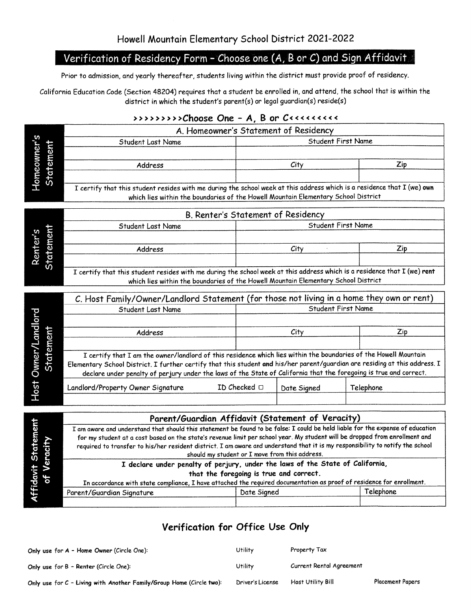## Verification of Residency Form - Choose one (A, B or C) and Sign Affidavit

Prior to admission, and yearly thereafter, students living within the district must provide proof of residency.

California Education Code (Section 48204) requires that a student be enrolled in, and attend, the school that is within the district in which the student's parent(s) or legal guardian(s) reside(s)

#### 

|                                  |                          | A. Homeowner's Statement of Residency                                                                                                                                                                                                                         |              |                           |           |  |  |
|----------------------------------|--------------------------|---------------------------------------------------------------------------------------------------------------------------------------------------------------------------------------------------------------------------------------------------------------|--------------|---------------------------|-----------|--|--|
|                                  |                          | Student Last Name                                                                                                                                                                                                                                             |              | Student First Name        |           |  |  |
|                                  | Homeowner's<br>Statement |                                                                                                                                                                                                                                                               |              |                           |           |  |  |
|                                  |                          | Address                                                                                                                                                                                                                                                       |              | City                      | Zip       |  |  |
|                                  |                          |                                                                                                                                                                                                                                                               |              |                           |           |  |  |
|                                  |                          | I certify that this student resides with me during the school week at this address which is a residence that I (we) own                                                                                                                                       |              |                           |           |  |  |
|                                  |                          | which lies within the boundaries of the Howell Mountain Elementary School District                                                                                                                                                                            |              |                           |           |  |  |
|                                  |                          | B. Renter's Statement of Residency                                                                                                                                                                                                                            |              |                           |           |  |  |
|                                  |                          | Student Last Name                                                                                                                                                                                                                                             |              | <b>Student First Name</b> |           |  |  |
|                                  |                          |                                                                                                                                                                                                                                                               |              |                           |           |  |  |
|                                  | Renter's<br>Statement    | Address                                                                                                                                                                                                                                                       |              | City                      | Zip       |  |  |
|                                  |                          |                                                                                                                                                                                                                                                               |              |                           |           |  |  |
|                                  |                          | I certify that this student resides with me during the school week at this address which is a residence that I (we) rent                                                                                                                                      |              |                           |           |  |  |
|                                  |                          | which lies within the boundaries of the Howell Mountain Elementary School District                                                                                                                                                                            |              |                           |           |  |  |
|                                  |                          | C. Host Family/Owner/Landlord Statement (for those not living in a home they own or rent)                                                                                                                                                                     |              |                           |           |  |  |
|                                  |                          | <b>Student First Name</b><br>Student Last Name                                                                                                                                                                                                                |              |                           |           |  |  |
|                                  |                          |                                                                                                                                                                                                                                                               |              |                           |           |  |  |
|                                  |                          | Address                                                                                                                                                                                                                                                       |              | City                      | Zip       |  |  |
|                                  |                          |                                                                                                                                                                                                                                                               |              |                           |           |  |  |
|                                  |                          | I certify that I am the owner/landlord of this residence which lies within the boundaries of the Howell Mountain                                                                                                                                              |              |                           |           |  |  |
| Host Owner/Landlord<br>Statement |                          | Elementary School District. I further certify that this student and his/her parent/guardian are residing at this address. I<br>declare under penalty of perjury under the laws of the State of California that the foregoing is true and correct.             |              |                           |           |  |  |
|                                  |                          |                                                                                                                                                                                                                                                               |              |                           |           |  |  |
|                                  |                          | Landlord/Property Owner Signature                                                                                                                                                                                                                             | ID Checked □ | Date Signed               | Telephone |  |  |
|                                  |                          |                                                                                                                                                                                                                                                               |              |                           |           |  |  |
|                                  |                          | Parent/Guardian Affidavit (Statement of Veracity)                                                                                                                                                                                                             |              |                           |           |  |  |
|                                  |                          | I am aware and understand that should this statement be found to be false: I could be held liable for the expense of education                                                                                                                                |              |                           |           |  |  |
|                                  |                          | for my student at a cost based on the state's revenue limit per school year. My student will be dropped from enrollment and<br>required to transfer to his/her resident district. I am aware and understand that it is my responsibility to notify the school |              |                           |           |  |  |
|                                  |                          | should my student or I move from this address.                                                                                                                                                                                                                |              |                           |           |  |  |
|                                  |                          | I declare under penalty of perjury, under the laws of the State of California,                                                                                                                                                                                |              |                           |           |  |  |
|                                  | of Veracity              | that the foregoing is true and correct.                                                                                                                                                                                                                       |              |                           |           |  |  |
| Affidavit Statement              |                          | In accordance with state compliance, I have attached the required documentation as proof of residence for enrollment.                                                                                                                                         |              |                           | Telephone |  |  |
|                                  |                          | Parent/Guardian Signature                                                                                                                                                                                                                                     | Date Signed  |                           |           |  |  |
|                                  |                          |                                                                                                                                                                                                                                                               |              |                           |           |  |  |

### Verification for Office Use Only

| Only use for A - Home Owner (Circle One):                              | Utility          | Property Tax             |                         |
|------------------------------------------------------------------------|------------------|--------------------------|-------------------------|
| Only use for B - Renter (Circle One):                                  | Utility          | Current Rental Agreement |                         |
| Only use for $C$ - Living with Another Family/Group Home (Circle two): | Driver's License | Host Utility Bill        | <b>Placement Papers</b> |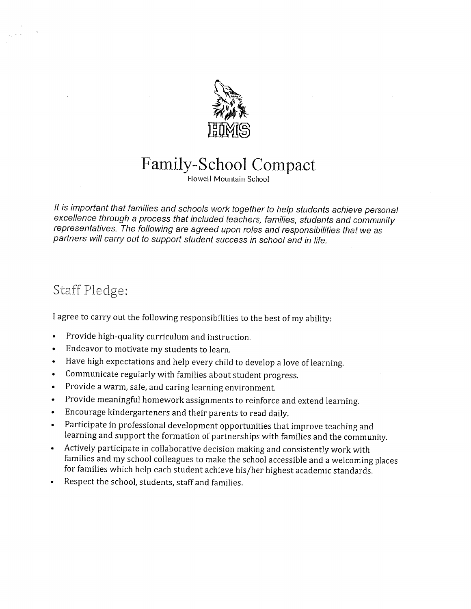

# Family-School Compact

Howell Mountain School

It is important that families and schools work together to help students achieve personal excellence through a process that included teachers, families, students and community representatives. The following are agreed upon roles and responsibilities that we as partners will carry out to support student success in school and in life.

## Staff Pledge:

I agree to carry out the following responsibilities to the best of my ability:

- Provide high-quality curriculum and instruction.
- Endeavor to motivate my students to learn.
- Have high expectations and help every child to develop a love of learning.  $\bullet$
- Communicate regularly with families about student progress.
- Provide a warm, safe, and caring learning environment.  $\bullet$
- Provide meaningful homework assignments to reinforce and extend learning.
- Encourage kindergarteners and their parents to read daily.  $\bullet$
- Participate in professional development opportunities that improve teaching and learning and support the formation of partnerships with families and the community.
- Actively participate in collaborative decision making and consistently work with families and my school colleagues to make the school accessible and a welcoming places for families which help each student achieve his/her highest academic standards.
- Respect the school, students, staff and families.